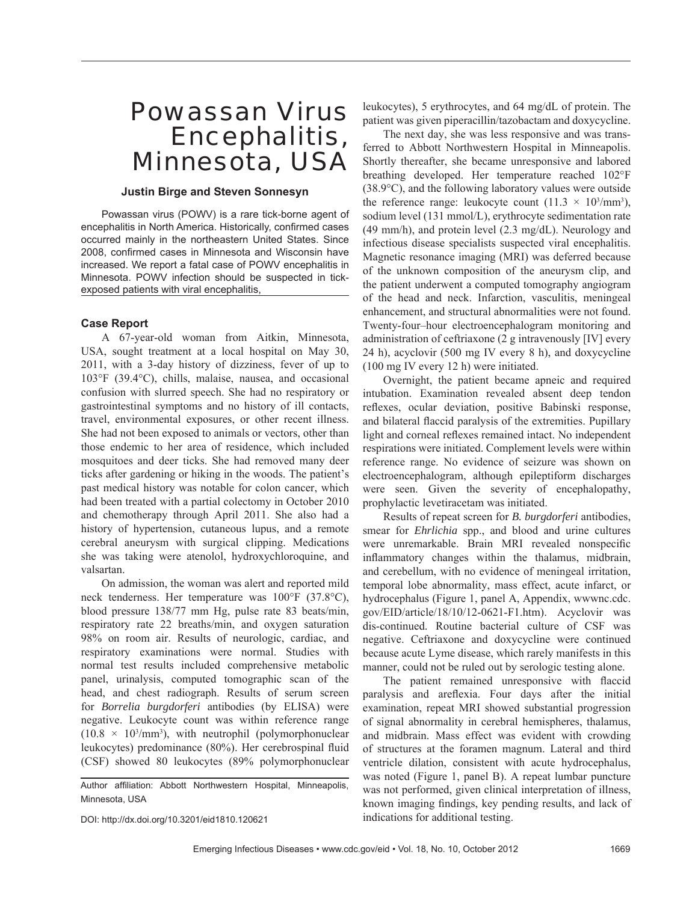# Powassan Virus Encephalitis, Minnesota, USA

## **Justin Birge and Steven Sonnesyn**

Powassan virus (POWV) is a rare tick-borne agent of encephalitis in North America. Historically, confirmed cases occurred mainly in the northeastern United States. Since 2008, confirmed cases in Minnesota and Wisconsin have increased. We report a fatal case of POWV encephalitis in Minnesota. POWV infection should be suspected in tickexposed patients with viral encephalitis,

## **Case Report**

A 67-year-old woman from Aitkin, Minnesota, USA, sought treatment at a local hospital on May 30, 2011, with a 3-day history of dizziness, fever of up to 103°F (39.4°C), chills, malaise, nausea, and occasional confusion with slurred speech. She had no respiratory or gastrointestinal symptoms and no history of ill contacts, travel, environmental exposures, or other recent illness. She had not been exposed to animals or vectors, other than those endemic to her area of residence, which included mosquitoes and deer ticks. She had removed many deer ticks after gardening or hiking in the woods. The patient's past medical history was notable for colon cancer, which had been treated with a partial colectomy in October 2010 and chemotherapy through April 2011. She also had a history of hypertension, cutaneous lupus, and a remote cerebral aneurysm with surgical clipping. Medications she was taking were atenolol, hydroxychloroquine, and valsartan.

On admission, the woman was alert and reported mild neck tenderness. Her temperature was 100°F (37.8°C), blood pressure 138/77 mm Hg, pulse rate 83 beats/min, respiratory rate 22 breaths/min, and oxygen saturation 98% on room air. Results of neurologic, cardiac, and respiratory examinations were normal. Studies with normal test results included comprehensive metabolic panel, urinalysis, computed tomographic scan of the head, and chest radiograph. Results of serum screen for *Borrelia burgdorferi* antibodies (by ELISA) were negative. Leukocyte count was within reference range  $(10.8 \times 10^{3}/\text{mm}^3)$ , with neutrophil (polymorphonuclear leukocytes) predominance (80%). Her cerebrospinal fluid (CSF) showed 80 leukocytes (89% polymorphonuclear

Author affiliation: Abbott Northwestern Hospital, Minneapolis, Minnesota, USA

DOI: http://dx.doi.org/10.3201/eid1810.120621

leukocytes), 5 erythrocytes, and 64 mg/dL of protein. The patient was given piperacillin/tazobactam and doxycycline.

The next day, she was less responsive and was transferred to Abbott Northwestern Hospital in Minneapolis. Shortly thereafter, she became unresponsive and labored breathing developed. Her temperature reached 102°F (38.9°C), and the following laboratory values were outside the reference range: leukocyte count  $(11.3 \times 10^3/\text{mm}^3)$ , sodium level (131 mmol/L), erythrocyte sedimentation rate (49 mm/h), and protein level (2.3 mg/dL). Neurology and infectious disease specialists suspected viral encephalitis. Magnetic resonance imaging (MRI) was deferred because of the unknown composition of the aneurysm clip, and the patient underwent a computed tomography angiogram of the head and neck. Infarction, vasculitis, meningeal enhancement, and structural abnormalities were not found. Twenty-four–hour electroencephalogram monitoring and administration of ceftriaxone (2 g intravenously [IV] every 24 h), acyclovir (500 mg IV every 8 h), and doxycycline (100 mg IV every 12 h) were initiated.

Overnight, the patient became apneic and required intubation. Examination revealed absent deep tendon reflexes, ocular deviation, positive Babinski response, and bilateral flaccid paralysis of the extremities. Pupillary light and corneal reflexes remained intact. No independent respirations were initiated. Complement levels were within reference range. No evidence of seizure was shown on electroencephalogram, although epileptiform discharges were seen. Given the severity of encephalopathy, prophylactic levetiracetam was initiated.

Results of repeat screen for *B. burgdorferi* antibodies, smear for *Ehrlichia* spp., and blood and urine cultures were unremarkable. Brain MRI revealed nonspecific inflammatory changes within the thalamus, midbrain, and cerebellum, with no evidence of meningeal irritation, temporal lobe abnormality, mass effect, acute infarct, or hydrocephalus (Figure 1, panel A, Appendix, wwwnc.cdc. gov/EID/article/18/10/12-0621-F1.htm). Acyclovir was dis-continued. Routine bacterial culture of CSF was negative. Ceftriaxone and doxycycline were continued because acute Lyme disease, which rarely manifests in this manner, could not be ruled out by serologic testing alone.

The patient remained unresponsive with flaccid paralysis and areflexia. Four days after the initial examination, repeat MRI showed substantial progression of signal abnormality in cerebral hemispheres, thalamus, and midbrain. Mass effect was evident with crowding of structures at the foramen magnum. Lateral and third ventricle dilation, consistent with acute hydrocephalus, was noted (Figure 1, panel B). A repeat lumbar puncture was not performed, given clinical interpretation of illness, known imaging findings, key pending results, and lack of indications for additional testing.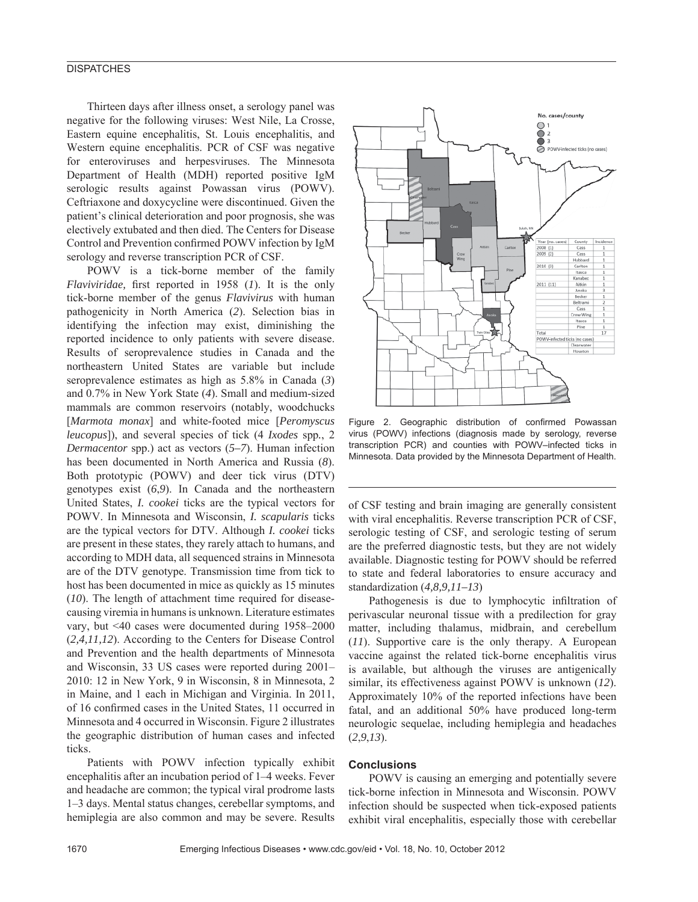## **DISPATCHES**

Thirteen days after illness onset, a serology panel was negative for the following viruses: West Nile, La Crosse, Eastern equine encephalitis, St. Louis encephalitis, and Western equine encephalitis. PCR of CSF was negative for enteroviruses and herpesviruses. The Minnesota Department of Health (MDH) reported positive IgM serologic results against Powassan virus (POWV). Ceftriaxone and doxycycline were discontinued. Given the patient's clinical deterioration and poor prognosis, she was electively extubated and then died. The Centers for Disease Control and Prevention confirmed POWV infection by IgM serology and reverse transcription PCR of CSF.

POWV is a tick-borne member of the family *Flaviviridae*, first reported in 1958 (*1*). It is the only tick-borne member of the genus *Flavivirus* with human pathogenicity in North America (*2*). Selection bias in identifying the infection may exist, diminishing the reported incidence to only patients with severe disease. Results of seroprevalence studies in Canada and the northeastern United States are variable but include seroprevalence estimates as high as 5.8% in Canada (*3*) and 0.7% in New York State (*4*). Small and medium-sized mammals are common reservoirs (notably, woodchucks [*Marmota monax*] and white-footed mice [*Peromyscus leucopus*]), and several species of tick (4 *Ixodes* spp*.*, 2 *Dermacentor* spp.) act as vectors (*5–7*). Human infection has been documented in North America and Russia (*8*). Both prototypic (POWV) and deer tick virus (DTV) genotypes exist (*6*,*9*). In Canada and the northeastern United States, *I. cookei* ticks are the typical vectors for POWV. In Minnesota and Wisconsin, *I. scapularis* ticks are the typical vectors for DTV. Although *I. cookei* ticks are present in these states, they rarely attach to humans, and according to MDH data, all sequenced strains in Minnesota are of the DTV genotype. Transmission time from tick to host has been documented in mice as quickly as 15 minutes (*10*). The length of attachment time required for diseasecausing viremia in humans is unknown. Literature estimates vary, but <40 cases were documented during 1958–2000 (*2,4,11,12*). According to the Centers for Disease Control and Prevention and the health departments of Minnesota and Wisconsin, 33 US cases were reported during 2001– 2010: 12 in New York, 9 in Wisconsin, 8 in Minnesota, 2 in Maine, and 1 each in Michigan and Virginia. In 2011, of 16 confirmed cases in the United States, 11 occurred in Minnesota and 4 occurred in Wisconsin. Figure 2 illustrates the geographic distribution of human cases and infected ticks.

Patients with POWV infection typically exhibit encephalitis after an incubation period of 1–4 weeks. Fever and headache are common; the typical viral prodrome lasts 1–3 days. Mental status changes, cerebellar symptoms, and hemiplegia are also common and may be severe. Results



Figure 2. Geographic distribution of confirmed Powassan virus (POWV) infections (diagnosis made by serology, reverse transcription PCR) and counties with POWV–infected ticks in Minnesota. Data provided by the Minnesota Department of Health.

of CSF testing and brain imaging are generally consistent with viral encephalitis. Reverse transcription PCR of CSF, serologic testing of CSF, and serologic testing of serum are the preferred diagnostic tests, but they are not widely available. Diagnostic testing for POWV should be referred to state and federal laboratories to ensure accuracy and standardization (*4,8,9,11–13*)

Pathogenesis is due to lymphocytic infiltration of perivascular neuronal tissue with a predilection for gray matter, including thalamus, midbrain, and cerebellum (*11*). Supportive care is the only therapy. A European vaccine against the related tick-borne encephalitis virus is available, but although the viruses are antigenically similar, its effectiveness against POWV is unknown (*12*). Approximately 10% of the reported infections have been fatal, and an additional 50% have produced long-term neurologic sequelae, including hemiplegia and headaches (*2*,*9*,*13*).

## **Conclusions**

POWV is causing an emerging and potentially severe tick-borne infection in Minnesota and Wisconsin. POWV infection should be suspected when tick-exposed patients exhibit viral encephalitis, especially those with cerebellar